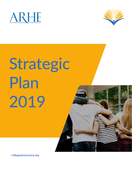



# Strategic Plan 2019



**collegiaterecovery.org**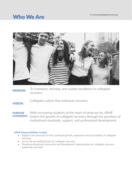### **Who We Are E. recovery@collegaterecovery.org**



To champion, develop, and sustain excellence in collegiate recovery. **MISSION:**

Collegiate culture that embraces recovery **VISION:**

With recovering students at the heart of what we do, ARHE **STATEMENT:** fosters the growth of collegiate recovery through the provision of institutional standards, support, and professional development. **PURPOSE** 

#### ARHE Responsibilities include:

- Support and advocate for the continued growth, expansion and accessibility of collegiate recovery.
- Act as the accrediting body for collegiate recovery.
- Provide professional community and development opportunities for collegiate recovery leadership and staff.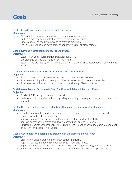## E. recovery@collegaterecovery.org E. The Covery Collegaterecovery.org E. The Covery Collegaterecovery.org E. The Covery of the Covery of the Covery of the Covery of the Covery of the Covery of the Covery of the Covery of t

#### Goal 1: Growth and Expansion of Collegiate Recovery **Objectives:**

- Advocate for the creation of new collegiate recovery programs.
- Cultivate material and intellectual assets to facilitate start-ups.
- Create a resource toolkit to provide to start up programs.
- Provide educational and development opportunities for all stakeholders.

#### Goal 2: Develop Accreditation Standards and Process **Objectives:**

- Establish universal accreditation standards for CRP's.
- Develop and outline the model of accreditation.
- Establish the process by which ARHE evaluates and determines accreditation requirements are met.

#### Goal 3: Development of Professional Collegiate Recovery Workforce **Objectives:**

- Establish roles and competencies pertinent to collegiate recovery work.
- Provide continuing education opportunities based on established competencies.
- Provide opportunities for collaboration and the sharing of best practices.

#### Goal 4: Assemble and Disseminate Best Practices and Relevant Recovery Research **Objectives:**

- Publish ARHE best practice recommendations.
- Collaborate with key stakeholders regarding advancing, housing and disseminating recovery research.

#### Goal 5: Develop funding sources and policies that create organizational sustainability **Objectives:**

- Develop sustainable and diverse revenue streams from ethical sources that support the guiding principles of our membership.
- Improve financial systems and develop policies that support sustainability.
- Improve operational systems and develop procedures and policy manual.
- Mitigate organizational challenges through the recruitment of board members, amendment of by-laws, and addressing liabilities.

#### Goal 6: Coordinate Membership and Stakeholder Engagement and Outreach **Objectives:**

- Create a consistent brand and communications platform.
- Regularly collect membership feedback, solicit input and needs.
- Expand membership participation through unique and engaging programs and services.
- Ensure the conference contains relevant, timely and dynamic learning opportunities.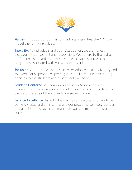

**Values:** In support of our mission and responsibilities, the ARHE will model the following values:

**Integrity:** As individuals and as an Association, we are honest, trustworthy, transparent and responsible. We adhere to the highest professional standards, and we advance the values and ethical obligations associated with our work with students.

**Inclusion:** As individuals and as an Association, we value diversity and the worth of all people, respecting individual differences that bring richness to the students and constituents we serve.

**Student-Centered:** As individuals and as an Association, we recognize our role in supporting student success and strive to act in the best interests of the students we serve in all decisions.

**Service Excellence:** As individuals and as an Association, we utilize our knowledge and skills to improve our programs, services, facilities and activities in ways that demonstrate our commitment to student success.